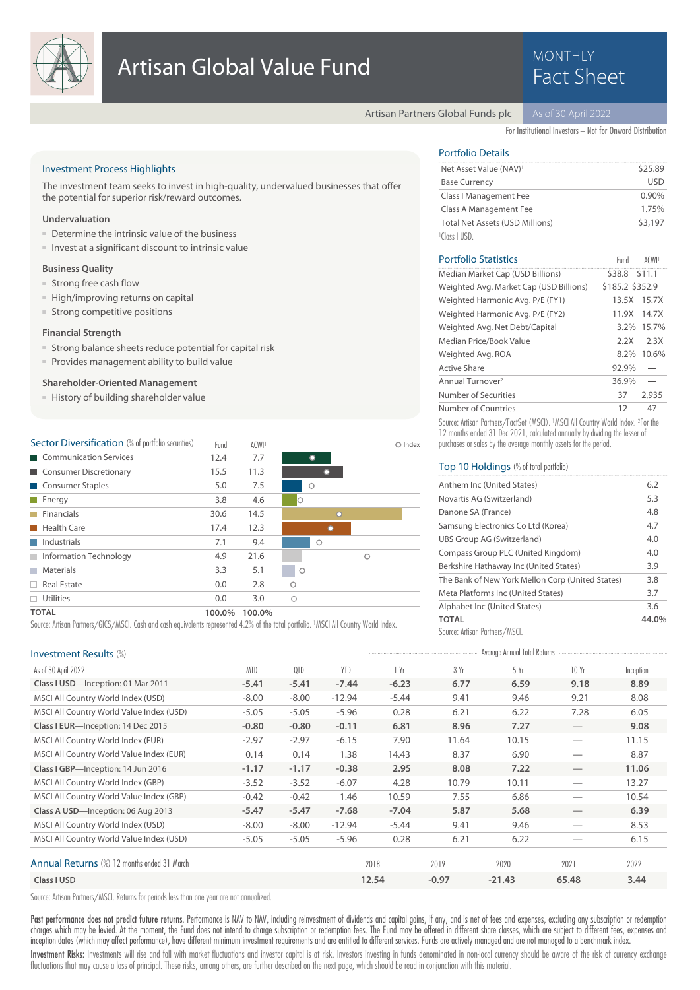

# **MONTHLY**

Artisan Partners Global Funds plc

For Institutional Investors – Not for Onward Distribution

### Investment Process Highlights

The investment team seeks to invest in high-quality, undervalued businesses that offer the potential for superior risk/reward outcomes.

#### **Undervaluation**

- Determine the intrinsic value of the business
- Invest at a significant discount to intrinsic value

#### **Business Quality**

- Strong free cash flow
- High/improving returns on capital
- Strong competitive positions

#### **Financial Strength**

- Strong balance sheets reduce potential for capital risk
- Provides management ability to build value

#### **Shareholder-Oriented Management**

■ History of building shareholder value

| <b>Sector Diversification</b> (% of portfolio securities) | Fund   | <b>ACWI</b> |         | Index |
|-----------------------------------------------------------|--------|-------------|---------|-------|
| Communication Services                                    | 12.4   | 7.7         | O       |       |
| Consumer Discretionary                                    | 15.5   | 11.3        |         |       |
| Consumer Staples                                          | 5.0    | 7.5         | O       |       |
| Energy                                                    | 3.8    | 4.6         | Ю       |       |
| Financials                                                | 30.6   | 14.5        | $\circ$ |       |
| Health Care                                               | 17.4   | 12.3        |         |       |
| Industrials                                               | 7.1    | 9.4         | O       |       |
| Information Technology                                    | 4.9    | 21.6        |         | ◠     |
| <b>Materials</b>                                          | 3.3    | 5.1         | $\circ$ |       |
| Real Estate                                               | 0.0    | 2.8         | O       |       |
| <b>Utilities</b>                                          | 0.0    | 3.0         | $\circ$ |       |
| <b>TOTAL</b>                                              | 100.0% | 100.0%      |         |       |

Source: Artisan Partners/GICS/MSCI. Cash and cash equivalents represented 4.2% of the total portfolio. <sup>1</sup>MSCI All Country World Index.

## Portfolio Details

| Net Asset Value (NAV) <sup>1</sup>     | \$25.89  |
|----------------------------------------|----------|
| <b>Base Currency</b>                   | lisd     |
| Class I Management Fee                 | $0.90\%$ |
| Class A Management Fee                 | 1.75%    |
| <b>Total Net Assets (USD Millions)</b> | \$3,197  |
| $\sim$ 1111 1 $\sim$ n $\sim$          |          |

### Portfolio Statistics **ACWI1** Fund ACWI1 Fund Number of Countries 12 47 Number of Securities 37 2,935 Annual Turnover<sup>2</sup> 36.9% Active Share 92.9% Weighted Avg. ROA 8.2% 10.6% Median Price/Book Value 2.2X 2.3X Weighted Avg. Net Debt/Capital 3.2% 15.7% Weighted Harmonic Avg. P/E (FY2) 11.9X 14.7X Weighted Harmonic Avg. P/E (FY1) 13.5X 15.7X Weighted Avg. Market Cap (USD Billions) \$185.2 \$352.9 Median Market Cap (USD Billions) \$38.8 \$11.1 Source: Artisan Partners/FactSet (MSCI). <sup>1</sup>MSCI All Country World Index. <sup>2</sup>For the

12 months ended 31 Dec 2021, calculated annually by dividing the lesser of purchases or sales by the average monthly assets for the period.

#### Top 10 Holdings (% of total portfolio)

| Anthem Inc (United States)                       | 6.2  |
|--------------------------------------------------|------|
| Novartis AG (Switzerland)                        | 5.3  |
| Danone SA (France)                               | 4.8  |
| Samsung Electronics Co Ltd (Korea)               | 4.7  |
| UBS Group AG (Switzerland)                       | 4.0  |
| Compass Group PLC (United Kingdom)               | 4.0  |
| Berkshire Hathaway Inc (United States)           | 3.9  |
| The Bank of New York Mellon Corp (United States) | 3.8  |
| Meta Platforms Inc (United States)               | 3.7  |
| Alphabet Inc (United States)                     | 3.6  |
| ΤΩΤΑΙ                                            | 44.0 |

Source: Artisan Partners/MSCI.

| Investment Results (%)                      |            |         |            |         |         | Average Annual Total Returns |                                 |           |
|---------------------------------------------|------------|---------|------------|---------|---------|------------------------------|---------------------------------|-----------|
| As of 30 April 2022                         | <b>MTD</b> | QTD     | <b>YTD</b> | 1 Yr    | 3 Yr    | 5Yr                          | 10Yr                            | Inception |
| Class I USD-Inception: 01 Mar 2011          | $-5.41$    | $-5.41$ | $-7.44$    | $-6.23$ | 6.77    | 6.59                         | 9.18                            | 8.89      |
| MSCI All Country World Index (USD)          | $-8.00$    | $-8.00$ | $-12.94$   | $-5.44$ | 9.41    | 9.46                         | 9.21                            | 8.08      |
| MSCI All Country World Value Index (USD)    | $-5.05$    | $-5.05$ | $-5.96$    | 0.28    | 6.21    | 6.22                         | 7.28                            | 6.05      |
| Class I EUR-Inception: 14 Dec 2015          | $-0.80$    | $-0.80$ | $-0.11$    | 6.81    | 8.96    | 7.27                         | $\hspace{0.1mm}-\hspace{0.1mm}$ | 9.08      |
| MSCI All Country World Index (EUR)          | $-2.97$    | $-2.97$ | $-6.15$    | 7.90    | 11.64   | 10.15                        |                                 | 11.15     |
| MSCI All Country World Value Index (EUR)    | 0.14       | 0.14    | 1.38       | 14.43   | 8.37    | 6.90                         |                                 | 8.87      |
| Class I GBP-Inception: 14 Jun 2016          | $-1.17$    | $-1.17$ | $-0.38$    | 2.95    | 8.08    | 7.22                         |                                 | 11.06     |
| MSCI All Country World Index (GBP)          | $-3.52$    | $-3.52$ | $-6.07$    | 4.28    | 10.79   | 10.11                        |                                 | 13.27     |
| MSCI All Country World Value Index (GBP)    | $-0.42$    | $-0.42$ | 1.46       | 10.59   | 7.55    | 6.86                         |                                 | 10.54     |
| Class A USD-Inception: 06 Aug 2013          | $-5.47$    | $-5.47$ | $-7.68$    | $-7.04$ | 5.87    | 5.68                         |                                 | 6.39      |
| MSCI All Country World Index (USD)          | $-8.00$    | $-8.00$ | $-12.94$   | $-5.44$ | 9.41    | 9.46                         |                                 | 8.53      |
| MSCI All Country World Value Index (USD)    | $-5.05$    | $-5.05$ | $-5.96$    | 0.28    | 6.21    | 6.22                         |                                 | 6.15      |
| Annual Returns (%) 12 months ended 31 March |            |         |            | 2018    | 2019    | 2020                         | 2021                            | 2022      |
| Class I USD                                 |            |         |            | 12.54   | $-0.97$ | $-21.43$                     | 65.48                           | 3.44      |

Source: Artisan Partners/MSCI. Returns for periods less than one year are not annualized.

Past performance does not predict future returns. Performance is NAV to NAV, including reinvestment of dividends and capital gains, if any, and is net of fees and expenses, excluding any subscription or redemption charges which may be levied. At the moment, the Fund does not intend to charge subscription or redemption fees. The Fund may be offered in different share classes, which are subject to different fees, expenses and inception dates (which may affect performance), have different minimum investment requirements and are entitled to different services. Funds are actively managed and are not managed to a benchmark index.

Investment Risks: Investments will rise and fall with market fluctuations and investor capital is at risk. Investors investing in funds denominated in non-local currency should be aware of the risk of currency exchange fluctuations that may cause a loss of principal. These risks, among others, are further described on the next page, which should be read in conjunction with this material.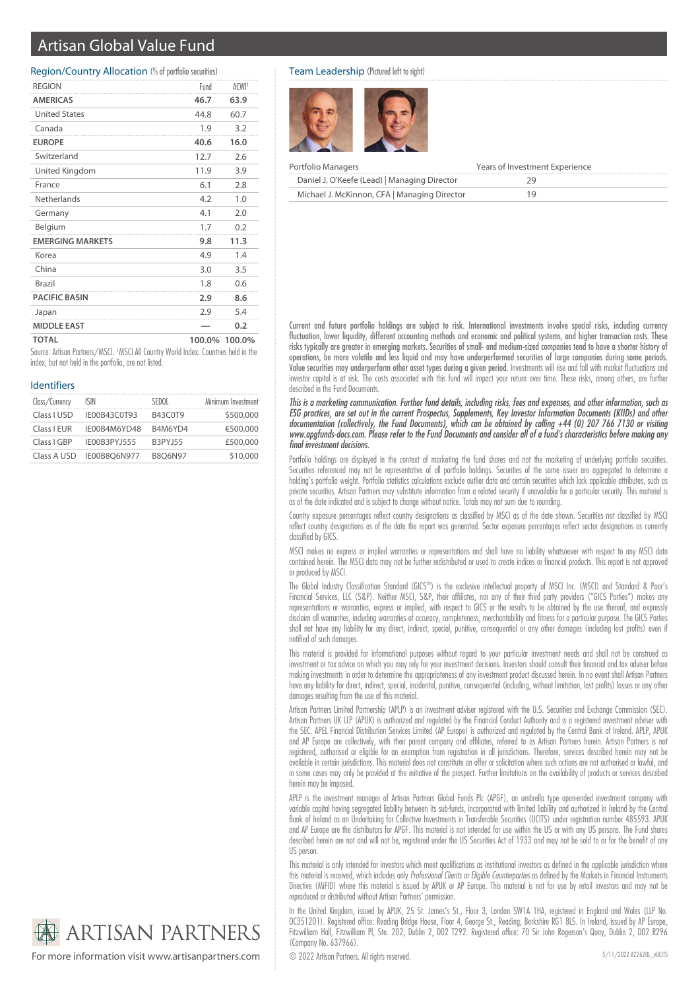# Artisan Global Value Fund

#### Region/Country Allocation (% of portfolio securities)

| <b>REGION</b>           | Fund   | ACWI <sup>1</sup> |
|-------------------------|--------|-------------------|
| <b>AMERICAS</b>         | 46.7   | 63.9              |
| <b>United States</b>    | 44.8   | 60.7              |
| Canada                  | 1.9    | 3.2               |
| <b>EUROPE</b>           | 40.6   | 16.0              |
| Switzerland             | 12.7   | 2.6               |
| United Kingdom          | 11.9   | 3.9               |
| France                  | 6.1    | 2.8               |
| Netherlands             | 4.2    | 1.0               |
| Germany                 | 4.1    | 2.0               |
| Belgium                 | 1.7    | 0.2               |
| <b>EMERGING MARKETS</b> | 9.8    | 11.3              |
| Korea                   | 4.9    | 1.4               |
| China                   | 3.0    | 3.5               |
| Brazil                  | 1.8    | 0.6               |
| <b>PACIFIC BASIN</b>    | 2.9    | 8.6               |
| Japan                   | 2.9    | 5.4               |
| <b>MIDDLE EAST</b>      |        | 0.2               |
| <b>TOTAL</b>            | 100.0% | 100.0%            |

Source: Artisan Partners/MSCI. <sup>1</sup>MSCI All Country World Index. Countries held in the index, but not held in the portfolio, are not listed.

#### Identifiers

| Class/Currency | ISIN         | SEDOL          | Minimum Investment |
|----------------|--------------|----------------|--------------------|
| Class I USD    | IE00B43C0T93 | B43C0T9        | \$500,000          |
| Class I EUR    | IE00B4M6YD48 | B4M6YD4        | €500,000           |
| Class I GBP    | IE00B3PYJ555 | <b>B3PYJ55</b> | £500,000           |
| Class A USD    | IE00B8O6N977 | <b>B8O6N97</b> | \$10,000           |

#### Team Leadership (Pictured left to right)



| Portfolio Managers                           | Years of Investment Experience |
|----------------------------------------------|--------------------------------|
| Daniel J. O'Keefe (Lead)   Managing Director |                                |
| Michael J. McKinnon, CFA   Managing Director |                                |

Current and future portfolio holdings are subject to risk. International investments involve special risks, including currency fluctuation, lower liquidity, different accounting methods and economic and political systems, and higher transaction costs. These risks typically are greater in emerging markets. Securities of small- and medium-sized companies tend to have a shorter history of operations, be more volatile and less liquid and may have underperformed securities of large companies during some periods. Value securities may underperform other asset types during a given period. Investments will rise and fall with market fluctuations and investor capital is at risk. The costs associated with this fund will impact your return over time. These risks, among others, are further described in the Fund Documents.

This is a marketing communication. Further fund details, including risks, fees and expenses, and other information, such as ESG practices, are set out in the current Prospectus, Supplements, Key Investor Information Documents (KIIDs) and other documentation (collectively, the Fund Documents), which can be obtained by calling +44 (0) 207 766 7130 or visiting www.apgfunds-docs.com. Please refer to the Fund Documents and consider all of a fund's characteristics before making any final investment decisions.

Portfolio holdings are displayed in the context of marketing the fund shares and not the marketing of underlying portfolio securities. Securities referenced may not be representative of all portfolio holdings. Securities of the same issuer are aggregated to determine a holding's portfolio weight. Portfolio statistics calculations exclude outlier data and certain securities which lack applicable attributes, such as private securities. Artisan Partners may substitute information from a related security if unavailable for a particular security. This material is as of the date indicated and is subject to change without notice. Totals may not sum due to rounding.

Country exposure percentages reflect country designations as classified by MSCI as of the date shown. Securities not classified by MSCI reflect country designations as of the date the report was generated. Sector exposure percentages reflect sector designations as currently classified by GICS.

MSCI makes no express or implied warranties or representations and shall have no liability whatsoever with respect to any MSCI data contained herein. The MSCI data may not be further redistributed or used to create indices or financial products. This report is not approved or produced by MSCI.

The Global Industry Classification Standard (GICS®) is the exclusive intellectual property of MSCI Inc. (MSCI) and Standard & Poor's Financial Services, LLC (S&P). Neither MSCI, S&P, their affiliates, nor any of their third party providers ("GICS Parties") makes any representations or warranties, express or implied, with respect to GICS or the results to be obtained by the use thereof, and expressly disclaim all warranties, including warranties of accuracy, completeness, merchantability and fitness for a particular purpose. The GICS Parties shall not have any liability for any direct, indirect, special, punitive, consequential or any other damages (including lost profits) even if notified of such damages.

This material is provided for informational purposes without regard to your particular investment needs and shall not be construed as investment or tax advice on which you may rely for your investment decisions. Investors should consult their financial and tax adviser before making investments in order to determine the appropriateness of any investment product discussed herein. In no event shall Artisan Partners have any liability for direct, indirect, special, incidental, punitive, consequential (including, without limitation, lost profits) losses or any other damages resulting from the use of this material.

Artisan Partners Limited Partnership (APLP) is an investment adviser registered with the U.S. Securities and Exchange Commission (SEC). Artisan Partners UK LLP (APUK) is authorized and regulated by the Financial Conduct Authority and is a registered investment adviser with the SEC. APEL Financial Distribution Services Limited (AP Europe) is authorized and regulated by the Central Bank of Ireland. APLP, APUK and AP Europe are collectively, with their parent company and affiliates, referred to as Artisan Partners herein. Artisan Partners is not registered, authorised or eligible for an exemption from registration in all jurisdictions. Therefore, services described herein may not be available in certain jurisdictions. This material does not constitute an offer or solicitation where such actions are not authorised or lawful, and in some cases may only be provided at the initiative of the prospect. Further limitations on the availability of products or services described herein may be imposed.

APLP is the investment manager of Artisan Partners Global Funds Plc (APGF), an umbrella type open-ended investment company with variable capital having segregated liability between its sub-funds, incorporated with limited liability and authorized in Ireland by the Central Bank of Ireland as an Undertaking for Collective Investments in Transferable Securities (UCITS) under registration number 485593. APUK and AP Europe are the distributors for APGF. This material is not intended for use within the US or with any US persons. The Fund shares described herein are not and will not be, registered under the US Securities Act of 1933 and may not be sold to or for the benefit of any US person.

This material is only intended for investors which meet qualifications as institutional investors as defined in the applicable jurisdiction where this material is received, which includes only Professional Clients or Eligible Counterparties as defined by the Markets in Financial Instruments Directive (MiFID) where this material is issued by APUK or AP Europe. This material is not for use by retail investors and may not be reproduced or distributed without Artisan Partners' permission.

In the United Kingdom, issued by APUK, 25 St. James's St., Floor 3, London SW1A 1HA, registered in England and Wales (LLP No. OC351201). Registered office: Reading Bridge House, Floor 4, George St., Reading, Berkshire RG1 8LS. In Ireland, issued by AP Europe, Fitzwilliam Hall, Fitzwilliam Pl, Ste. 202, Dublin 2, D02 T292. Registered office: 70 Sir John Rogerson's Quay, Dublin 2, D02 R296 (Company No. 637966).



For more information visit www.artisanpartners.com  $\bigcirc$  2022 Artisan Partners. All rights reserved.